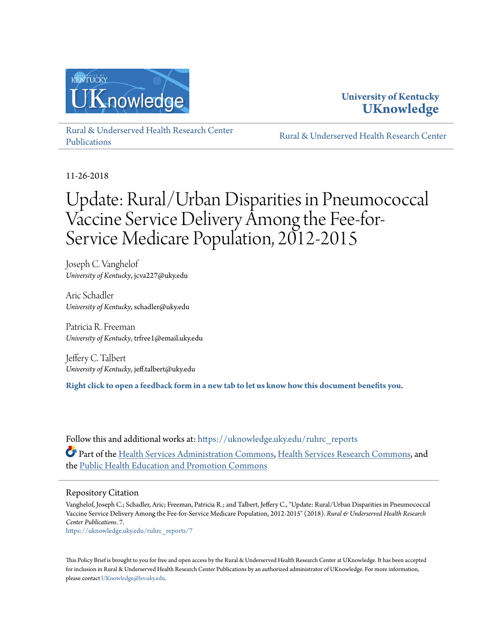



[Rural & Underserved Health Research Center](https://uknowledge.uky.edu/ruhrc_reports?utm_source=uknowledge.uky.edu%2Fruhrc_reports%2F7&utm_medium=PDF&utm_campaign=PDFCoverPages) [Publications](https://uknowledge.uky.edu/ruhrc_reports?utm_source=uknowledge.uky.edu%2Fruhrc_reports%2F7&utm_medium=PDF&utm_campaign=PDFCoverPages)

[Rural & Underserved Health Research Center](https://uknowledge.uky.edu/ruhrc?utm_source=uknowledge.uky.edu%2Fruhrc_reports%2F7&utm_medium=PDF&utm_campaign=PDFCoverPages)

11-26-2018

# Update: Rural/Urban Disparities in Pneumococcal Vaccine Service Delivery Among the Fee-for-Service Medicare Population, 2012-2015

Joseph C. Vanghelof *University of Kentucky*, jcva227@uky.edu

Aric Schadler *University of Kentucky*, schadler@uky.edu

Patricia R. Freeman *University of Kentucky*, trfree1@email.uky.edu

Jeffery C. Talbert *University of Kentucky*, jeff.talbert@uky.edu

**[Right click to open a feedback form in a new tab to let us know how this document benefits you.](https://uky.az1.qualtrics.com/jfe/form/SV_9mq8fx2GnONRfz7)**

Follow this and additional works at: [https://uknowledge.uky.edu/ruhrc\\_reports](https://uknowledge.uky.edu/ruhrc_reports?utm_source=uknowledge.uky.edu%2Fruhrc_reports%2F7&utm_medium=PDF&utm_campaign=PDFCoverPages) Part of the [Health Services Administration Commons,](http://network.bepress.com/hgg/discipline/747?utm_source=uknowledge.uky.edu%2Fruhrc_reports%2F7&utm_medium=PDF&utm_campaign=PDFCoverPages) [Health Services Research Commons,](http://network.bepress.com/hgg/discipline/816?utm_source=uknowledge.uky.edu%2Fruhrc_reports%2F7&utm_medium=PDF&utm_campaign=PDFCoverPages) and the [Public Health Education and Promotion Commons](http://network.bepress.com/hgg/discipline/743?utm_source=uknowledge.uky.edu%2Fruhrc_reports%2F7&utm_medium=PDF&utm_campaign=PDFCoverPages)

#### Repository Citation

Vanghelof, Joseph C.; Schadler, Aric; Freeman, Patricia R.; and Talbert, Jeffery C., "Update: Rural/Urban Disparities in Pneumococcal Vaccine Service Delivery Among the Fee-for-Service Medicare Population, 2012-2015" (2018). *Rural & Underserved Health Research Center Publications*. 7.

[https://uknowledge.uky.edu/ruhrc\\_reports/7](https://uknowledge.uky.edu/ruhrc_reports/7?utm_source=uknowledge.uky.edu%2Fruhrc_reports%2F7&utm_medium=PDF&utm_campaign=PDFCoverPages)

This Policy Brief is brought to you for free and open access by the Rural & Underserved Health Research Center at UKnowledge. It has been accepted for inclusion in Rural & Underserved Health Research Center Publications by an authorized administrator of UKnowledge. For more information, please contact [UKnowledge@lsv.uky.edu.](mailto:UKnowledge@lsv.uky.edu)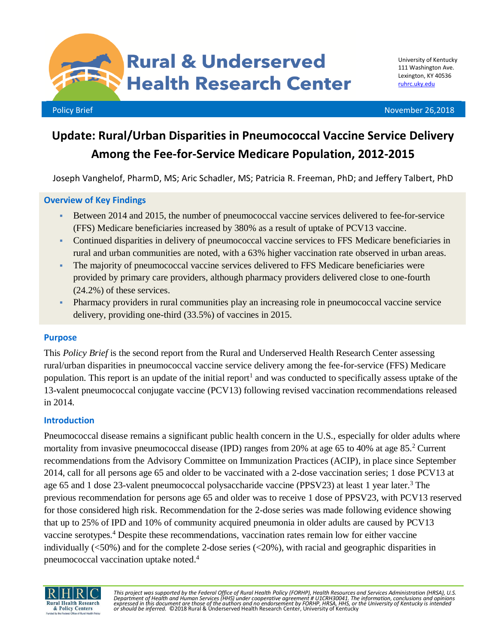**Rural & Underserved Health Research Center** 

Policy Brief November 26,2018

## **Update: Rural/Urban Disparities in Pneumococcal Vaccine Service Delivery Among the Fee-for-Service Medicare Population, 2012-2015**

Joseph Vanghelof, PharmD, MS; Aric Schadler, MS; Patricia R. Freeman, PhD; and Jeffery Talbert, PhD

### **Overview of Key Findings**

- Between 2014 and 2015, the number of pneumococcal vaccine services delivered to fee-for-service (FFS) Medicare beneficiaries increased by 380% as a result of uptake of PCV13 vaccine.
- Continued disparities in delivery of pneumococcal vaccine services to FFS Medicare beneficiaries in rural and urban communities are noted, with a 63% higher vaccination rate observed in urban areas.
- The majority of pneumococcal vaccine services delivered to FFS Medicare beneficiaries were provided by primary care providers, although pharmacy providers delivered close to one-fourth (24.2%) of these services.
- Pharmacy providers in rural communities play an increasing role in pneumococcal vaccine service delivery, providing one-third (33.5%) of vaccines in 2015.

## **Purpose**

This *Policy Brief* is the second report from the Rural and Underserved Health Research Center assessing rural/urban disparities in pneumococcal vaccine service delivery among the fee-for-service (FFS) Medicare population. This report is an update of the initial report<sup>1</sup> and was conducted to specifically assess uptake of the 13-valent pneumococcal conjugate vaccine (PCV13) following revised vaccination recommendations released in 2014.

## **Introduction**

Pneumococcal disease remains a significant public health concern in the U.S., especially for older adults where mortality from invasive pneumococcal disease (IPD) ranges from 20% at age 65 to 40% at age 85.<sup>2</sup> Current recommendations from the Advisory Committee on Immunization Practices (ACIP), in place since September 2014, call for all persons age 65 and older to be vaccinated with a 2-dose vaccination series; 1 dose PCV13 at age 65 and 1 dose 23-valent pneumococcal polysaccharide vaccine (PPSV23) at least 1 year later.<sup>3</sup> The previous recommendation for persons age 65 and older was to receive 1 dose of PPSV23, with PCV13 reserved for those considered high risk. Recommendation for the 2-dose series was made following evidence showing that up to 25% of IPD and 10% of community acquired pneumonia in older adults are caused by PCV13 vaccine serotypes.<sup>4</sup> Despite these recommendations, vaccination rates remain low for either vaccine individually  $\langle$  <50%) and for the complete 2-dose series  $\langle$  <20%), with racial and geographic disparities in pneumococcal vaccination uptake noted. 4



*This project was supported by the Federal Office of Rural Health Policy (FORHP), Health Resources and Services Administration (HRSA), U.S.*  Department of Health and Human Services [HHS) under cooperative agreement # U1CRH30041. The information, conclusions and opinions<br>expressed in this document are those of the authors and no endorsement by FORHP, HRSA, HHS,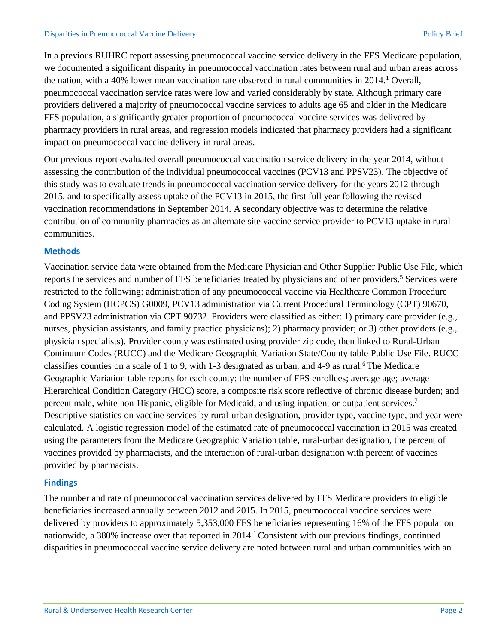In a previous RUHRC report assessing pneumococcal vaccine service delivery in the FFS Medicare population, we documented a significant disparity in pneumococcal vaccination rates between rural and urban areas across the nation, with a 40% lower mean vaccination rate observed in rural communities in 2014. <sup>1</sup> Overall, pneumococcal vaccination service rates were low and varied considerably by state. Although primary care providers delivered a majority of pneumococcal vaccine services to adults age 65 and older in the Medicare FFS population, a significantly greater proportion of pneumococcal vaccine services was delivered by pharmacy providers in rural areas, and regression models indicated that pharmacy providers had a significant impact on pneumococcal vaccine delivery in rural areas.

Our previous report evaluated overall pneumococcal vaccination service delivery in the year 2014, without assessing the contribution of the individual pneumococcal vaccines (PCV13 and PPSV23). The objective of this study was to evaluate trends in pneumococcal vaccination service delivery for the years 2012 through 2015, and to specifically assess uptake of the PCV13 in 2015, the first full year following the revised vaccination recommendations in September 2014. A secondary objective was to determine the relative contribution of community pharmacies as an alternate site vaccine service provider to PCV13 uptake in rural communities.

## **Methods**

Vaccination service data were obtained from the Medicare Physician and Other Supplier Public Use File, which reports the services and number of FFS beneficiaries treated by physicians and other providers.<sup>5</sup> Services were restricted to the following: administration of any pneumococcal vaccine via Healthcare Common Procedure Coding System (HCPCS) G0009, PCV13 administration via Current Procedural Terminology (CPT) 90670, and PPSV23 administration via CPT 90732. Providers were classified as either: 1) primary care provider (e.g., nurses, physician assistants, and family practice physicians); 2) pharmacy provider; or 3) other providers (e.g., physician specialists). Provider county was estimated using provider zip code, then linked to Rural-Urban Continuum Codes (RUCC) and the Medicare Geographic Variation State/County table Public Use File. RUCC classifies counties on a scale of 1 to 9, with 1-3 designated as urban, and 4-9 as rural.<sup>6</sup> The Medicare Geographic Variation table reports for each county: the number of FFS enrollees; average age; average Hierarchical Condition Category (HCC) score, a composite risk score reflective of chronic disease burden; and percent male, white non-Hispanic, eligible for Medicaid, and using inpatient or outpatient services.<sup>7</sup> Descriptive statistics on vaccine services by rural-urban designation, provider type, vaccine type, and year were calculated. A logistic regression model of the estimated rate of pneumococcal vaccination in 2015 was created using the parameters from the Medicare Geographic Variation table, rural-urban designation, the percent of vaccines provided by pharmacists, and the interaction of rural-urban designation with percent of vaccines provided by pharmacists.

## **Findings**

The number and rate of pneumococcal vaccination services delivered by FFS Medicare providers to eligible beneficiaries increased annually between 2012 and 2015. In 2015, pneumococcal vaccine services were delivered by providers to approximately 5,353,000 FFS beneficiaries representing 16% of the FFS population nationwide, a 380% increase over that reported in 2014.<sup>1</sup> Consistent with our previous findings, continued disparities in pneumococcal vaccine service delivery are noted between rural and urban communities with an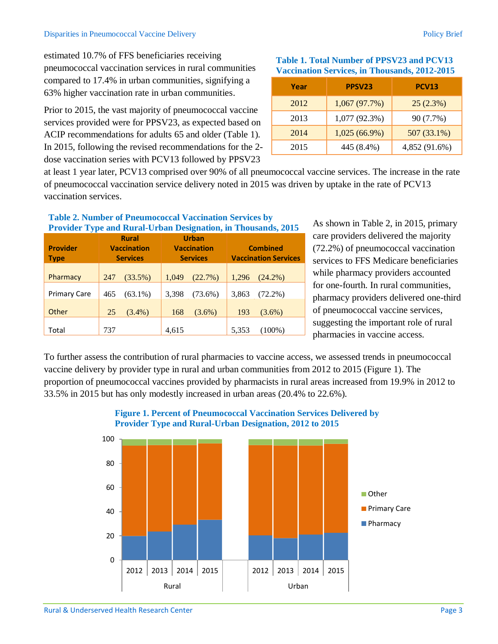#### Disparities in Pneumococcal Vaccine Delivery Policy Brief

estimated 10.7% of FFS beneficiaries receiving pneumococcal vaccination services in rural communities compared to 17.4% in urban communities, signifying a 63% higher vaccination rate in urban communities.

Prior to 2015, the vast majority of pneumococcal vaccine services provided were for PPSV23, as expected based on ACIP recommendations for adults 65 and older (Table 1). In 2015, following the revised recommendations for the 2 dose vaccination series with PCV13 followed by PPSV23

**Table 2. Number of Pneumococcal Vaccination Services by** 

## **Table 1. Total Number of PPSV23 and PCV13 Vaccination Services, in Thousands, 2012-2015**

| Year | PPSV23          | <b>PCV13</b>  |  |  |
|------|-----------------|---------------|--|--|
| 2012 | 1,067(97.7%)    | 25(2.3%)      |  |  |
| 2013 | 1,077(92.3%)    | 90 (7.7%)     |  |  |
| 2014 | $1,025(66.9\%)$ | 507 (33.1%)   |  |  |
| 2015 | 445 (8.4%)      | 4,852 (91.6%) |  |  |

at least 1 year later, PCV13 comprised over 90% of all pneumococcal vaccine services. The increase in the rate of pneumococcal vaccination service delivery noted in 2015 was driven by uptake in the rate of PCV13 vaccination services.

| <b>Provider Type and Rural-Urban Designation, in Thousands, 2015</b> |                                                       |            |                                                       |            |                                                |            |  |
|----------------------------------------------------------------------|-------------------------------------------------------|------------|-------------------------------------------------------|------------|------------------------------------------------|------------|--|
| <b>Provider</b><br><b>Type</b>                                       | <b>Rural</b><br><b>Vaccination</b><br><b>Services</b> |            | <b>Urban</b><br><b>Vaccination</b><br><b>Services</b> |            | <b>Combined</b><br><b>Vaccination Services</b> |            |  |
| Pharmacy                                                             | 247                                                   | (33.5%)    | 1,049                                                 | (22.7%)    | 1,296                                          | $(24.2\%)$ |  |
| <b>Primary Care</b>                                                  | 465                                                   | $(63.1\%)$ | 3,398                                                 | $(73.6\%)$ | 3,863                                          | $(72.2\%)$ |  |
| Other                                                                | 25                                                    | $(3.4\%)$  | 168                                                   | $(3.6\%)$  | 193                                            | $(3.6\%)$  |  |
| Total                                                                | 737                                                   |            | 4,615                                                 |            | 5,353                                          | $(100\%)$  |  |

As shown in Table 2, in 2015, primary care providers delivered the majority (72.2%) of pneumococcal vaccination services to FFS Medicare beneficiaries while pharmacy providers accounted for one-fourth. In rural communities, pharmacy providers delivered one-third of pneumococcal vaccine services, suggesting the important role of rural pharmacies in vaccine access.

To further assess the contribution of rural pharmacies to vaccine access, we assessed trends in pneumococcal vaccine delivery by provider type in rural and urban communities from 2012 to 2015 (Figure 1). The proportion of pneumococcal vaccines provided by pharmacists in rural areas increased from 19.9% in 2012 to 33.5% in 2015 but has only modestly increased in urban areas (20.4% to 22.6%).



## **Figure 1. Percent of Pneumococcal Vaccination Services Delivered by Provider Type and Rural-Urban Designation, 2012 to 2015**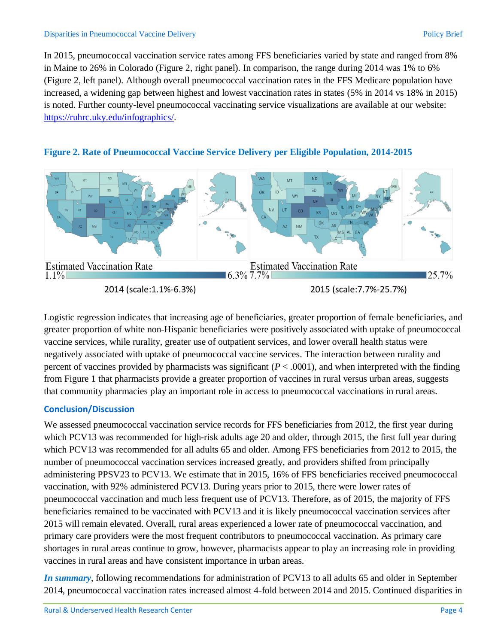In 2015, pneumococcal vaccination service rates among FFS beneficiaries varied by state and ranged from 8% in Maine to 26% in Colorado (Figure 2, right panel). In comparison, the range during 2014 was 1% to 6% (Figure 2, left panel). Although overall pneumococcal vaccination rates in the FFS Medicare population have increased, a widening gap between highest and lowest vaccination rates in states (5% in 2014 vs 18% in 2015) is noted. Further county-level pneumococcal vaccinating service visualizations are available at our website: [https://ruhrc.uky.edu/infographics/.](https://ruhrc.uky.edu/infographics/)



## **Figure 2. Rate of Pneumococcal Vaccine Service Delivery per Eligible Population, 2014-2015**

Logistic regression indicates that increasing age of beneficiaries, greater proportion of female beneficiaries, and greater proportion of white non-Hispanic beneficiaries were positively associated with uptake of pneumococcal vaccine services, while rurality, greater use of outpatient services, and lower overall health status were negatively associated with uptake of pneumococcal vaccine services. The interaction between rurality and percent of vaccines provided by pharmacists was significant (*P* < .0001), and when interpreted with the finding from Figure 1 that pharmacists provide a greater proportion of vaccines in rural versus urban areas, suggests that community pharmacies play an important role in access to pneumococcal vaccinations in rural areas.

## **Conclusion/Discussion**

We assessed pneumococcal vaccination service records for FFS beneficiaries from 2012, the first year during which PCV13 was recommended for high-risk adults age 20 and older, through 2015, the first full year during which PCV13 was recommended for all adults 65 and older. Among FFS beneficiaries from 2012 to 2015, the number of pneumococcal vaccination services increased greatly, and providers shifted from principally administering PPSV23 to PCV13. We estimate that in 2015, 16% of FFS beneficiaries received pneumococcal vaccination, with 92% administered PCV13. During years prior to 2015, there were lower rates of pneumococcal vaccination and much less frequent use of PCV13. Therefore, as of 2015, the majority of FFS beneficiaries remained to be vaccinated with PCV13 and it is likely pneumococcal vaccination services after 2015 will remain elevated. Overall, rural areas experienced a lower rate of pneumococcal vaccination, and primary care providers were the most frequent contributors to pneumococcal vaccination. As primary care shortages in rural areas continue to grow, however, pharmacists appear to play an increasing role in providing vaccines in rural areas and have consistent importance in urban areas.

*In summary*, following recommendations for administration of PCV13 to all adults 65 and older in September 2014, pneumococcal vaccination rates increased almost 4-fold between 2014 and 2015. Continued disparities in